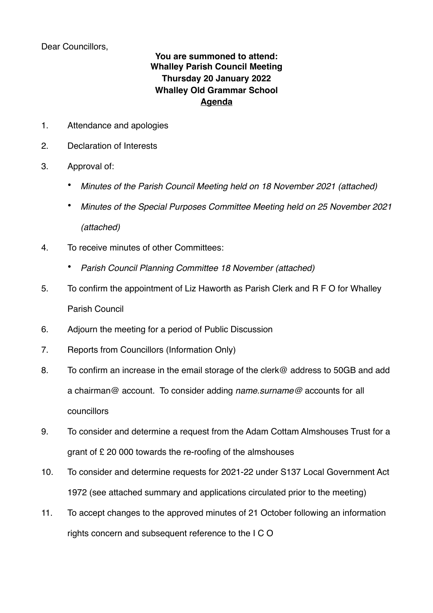Dear Councillors,

## **You are summoned to attend: Whalley Parish Council Meeting Thursday 20 January 2022 Whalley Old Grammar School Agenda**

- 1. Attendance and apologies
- 2. Declaration of Interests
- 3. Approval of:
	- *Minutes of the Parish Council Meeting held on 18 November 2021 (attached)*
	- *Minutes of the Special Purposes Committee Meeting held on 25 November 2021 (attached)*
- 4. To receive minutes of other Committees:
	- *Parish Council Planning Committee 18 November (attached)*
- 5. To confirm the appointment of Liz Haworth as Parish Clerk and R F O for Whalley Parish Council
- 6. Adjourn the meeting for a period of Public Discussion
- 7. Reports from Councillors (Information Only)
- 8. To confirm an increase in the email storage of the clerk@ address to 50GB and add a chairman@ account. To consider adding *name.surname@* accounts for all councillors
- 9. To consider and determine a request from the Adam Cottam Almshouses Trust for a grant of £ 20 000 towards the re-roofing of the almshouses
- 10. To consider and determine requests for 2021-22 under S137 Local Government Act 1972 (see attached summary and applications circulated prior to the meeting)
- 11. To accept changes to the approved minutes of 21 October following an information rights concern and subsequent reference to the I C O